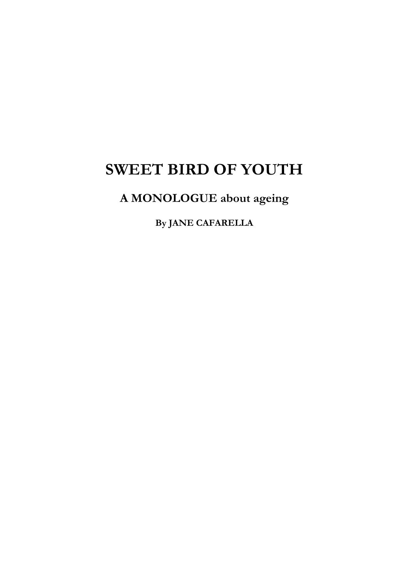## **SWEET BIRD OF YOUTH**

## **A MONOLOGUE about ageing**

**By JANE CAFARELLA**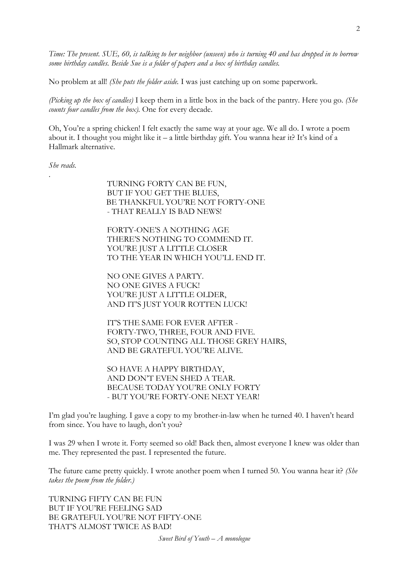*Time: The present. SUE, 60, is talking to her neighbor (unseen) who is turning 40 and has dropped in to borrow some birthday candles. Beside Sue is a folder of papers and a box of birthday candles.*

No problem at all! *(She puts the folder aside.* I was just catching up on some paperwork.

*(Picking up the box of candles)* I keep them in a little box in the back of the pantry. Here you go. *(She counts four candles from the box).* One for every decade.

Oh, You're a spring chicken! I felt exactly the same way at your age. We all do. I wrote a poem about it. I thought you might like it – a little birthday gift. You wanna hear it? It's kind of a Hallmark alternative.

*She reads.*

.

TURNING FORTY CAN BE FUN, BUT IF YOU GET THE BLUES, BE THANKFUL YOU'RE NOT FORTY-ONE - THAT REALLY IS BAD NEWS!

FORTY-ONE'S A NOTHING AGE THERE'S NOTHING TO COMMEND IT. YOU'RE JUST A LITTLE CLOSER TO THE YEAR IN WHICH YOU'LL END IT.

NO ONE GIVES A PARTY. NO ONE GIVES A FUCK! YOU'RE JUST A LITTLE OLDER, AND IT'S JUST YOUR ROTTEN LUCK!

IT'S THE SAME FOR EVER AFTER - FORTY-TWO, THREE, FOUR AND FIVE. SO, STOP COUNTING ALL THOSE GREY HAIRS, AND BE GRATEFUL YOU'RE ALIVE.

SO HAVE A HAPPY BIRTHDAY, AND DON'T EVEN SHED A TEAR. BECAUSE TODAY YOU'RE ONLY FORTY - BUT YOU'RE FORTY-ONE NEXT YEAR!

I'm glad you're laughing. I gave a copy to my brother-in-law when he turned 40. I haven't heard from since. You have to laugh, don't you?

I was 29 when I wrote it. Forty seemed so old! Back then, almost everyone I knew was older than me. They represented the past. I represented the future.

The future came pretty quickly. I wrote another poem when I turned 50. You wanna hear it? *(She takes the poem from the folder.)*

TURNING FIFTY CAN BE FUN BUT IF YOU'RE FEELING SAD BE GRATEFUL YOU'RE NOT FIFTY-ONE THAT'S ALMOST TWICE AS BAD!

*Sweet Bird of Youth – A monologue*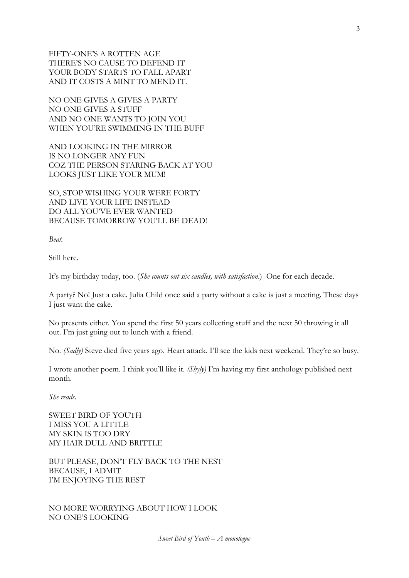FIFTY-ONE'S A ROTTEN AGE THERE'S NO CAUSE TO DEFEND IT YOUR BODY STARTS TO FALL APART AND IT COSTS A MINT TO MEND IT.

NO ONE GIVES A GIVES A PARTY NO ONE GIVES A STUFF AND NO ONE WANTS TO JOIN YOU WHEN YOU'RE SWIMMING IN THE BUFF

AND LOOKING IN THE MIRROR IS NO LONGER ANY FUN COZ THE PERSON STARING BACK AT YOU LOOKS JUST LIKE YOUR MUM!

SO, STOP WISHING YOUR WERE FORTY AND LIVE YOUR LIFE INSTEAD DO ALL YOU'VE EVER WANTED BECAUSE TOMORROW YOU'LL BE DEAD!

*Beat.*

Still here.

It's my birthday today, too. (*She counts out six candles, with satisfaction*.) One for each decade.

A party? No! Just a cake. Julia Child once said a party without a cake is just a meeting. These days I just want the cake.

No presents either. You spend the first 50 years collecting stuff and the next 50 throwing it all out. I'm just going out to lunch with a friend.

No. *(Sadly)* Steve died five years ago. Heart attack. I'll see the kids next weekend. They're so busy.

I wrote another poem. I think you'll like it. *(Shyly)* I'm having my first anthology published next month.

*She reads.*

SWEET BIRD OF YOUTH I MISS YOU A LITTLE MY SKIN IS TOO DRY MY HAIR DULL AND BRITTLE

BUT PLEASE, DON'T FLY BACK TO THE NEST BECAUSE, I ADMIT I'M ENJOYING THE REST

NO MORE WORRYING ABOUT HOW I LOOK NO ONE'S LOOKING

*Sweet Bird of Youth – A monologue*